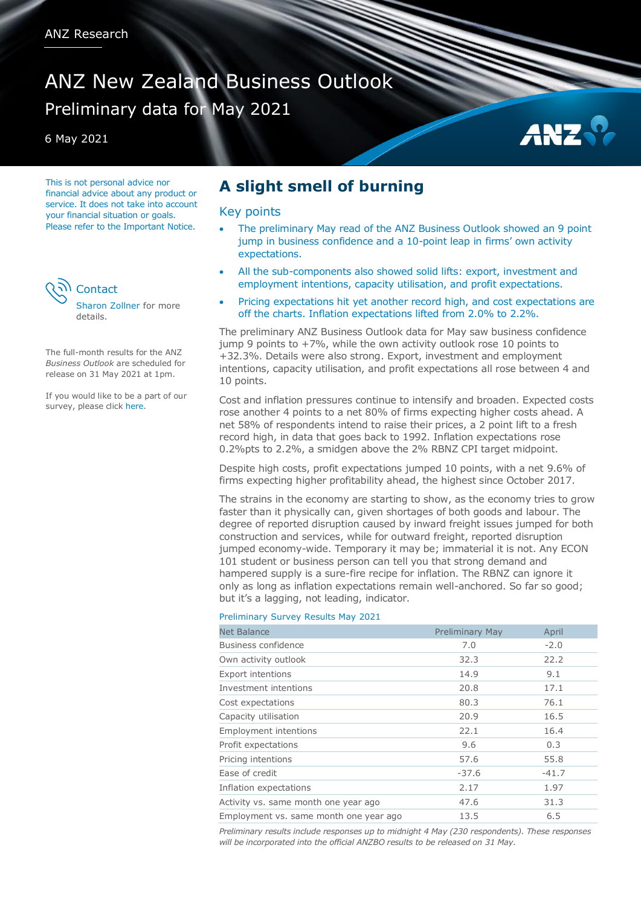# ANZ New Zealand Business Outlook Preliminary data for May 2021

6 May 2021

This is not personal advice nor financial advice about any product or service. It does not take into account your financial situation or goals. Please refer to the Important Notice.



The full-month results for the ANZ *Business Outlook* are scheduled for release on 31 May 2021 at 1pm.

If you would like to be a part of our survey, please clic[k here.](mailto:kyle.uerata@anz.com)

## **A slight smell of burning**

### Key points

- The preliminary May read of the ANZ Business Outlook showed an 9 point jump in business confidence and a 10-point leap in firms' own activity expectations.
- All the sub-components also showed solid lifts: export, investment and employment intentions, capacity utilisation, and profit expectations.
- Pricing expectations hit yet another record high, and cost expectations are off the charts. Inflation expectations lifted from 2.0% to 2.2%.

The preliminary ANZ Business Outlook data for May saw business confidence jump 9 points to +7%, while the own activity outlook rose 10 points to +32.3%. Details were also strong. Export, investment and employment intentions, capacity utilisation, and profit expectations all rose between 4 and 10 points.

Cost and inflation pressures continue to intensify and broaden. Expected costs rose another 4 points to a net 80% of firms expecting higher costs ahead. A net 58% of respondents intend to raise their prices, a 2 point lift to a fresh record high, in data that goes back to 1992. Inflation expectations rose 0.2%pts to 2.2%, a smidgen above the 2% RBNZ CPI target midpoint.

Despite high costs, profit expectations jumped 10 points, with a net 9.6% of firms expecting higher profitability ahead, the highest since October 2017.

The strains in the economy are starting to show, as the economy tries to grow faster than it physically can, given shortages of both goods and labour. The degree of reported disruption caused by inward freight issues jumped for both construction and services, while for outward freight, reported disruption jumped economy-wide. Temporary it may be; immaterial it is not. Any ECON 101 student or business person can tell you that strong demand and hampered supply is a sure-fire recipe for inflation. The RBNZ can ignore it only as long as inflation expectations remain well-anchored. So far so good; but it's a lagging, not leading, indicator.

#### Preliminary Survey Results May 2021

| <b>Net Balance</b>                     | <b>Preliminary May</b> | April   |
|----------------------------------------|------------------------|---------|
| Business confidence                    | 7.0                    | $-2.0$  |
| Own activity outlook                   | 32.3                   | 22.2    |
| <b>Export intentions</b>               | 14.9                   | 9.1     |
| Investment intentions                  | 20.8                   | 17.1    |
| Cost expectations                      | 80.3                   | 76.1    |
| Capacity utilisation                   | 20.9                   | 16.5    |
| Employment intentions                  | 22.1                   | 16.4    |
| Profit expectations                    | 9.6                    | 0.3     |
| Pricing intentions                     | 57.6                   | 55.8    |
| Ease of credit                         | $-37.6$                | $-41.7$ |
| Inflation expectations                 | 2.17                   | 1.97    |
| Activity vs. same month one year ago   | 47.6                   | 31.3    |
| Employment vs. same month one year ago | 13.5                   | 6.5     |

*Preliminary results include responses up to midnight 4 May (230 respondents). These responses will be incorporated into the official ANZBO results to be released on 31 May.*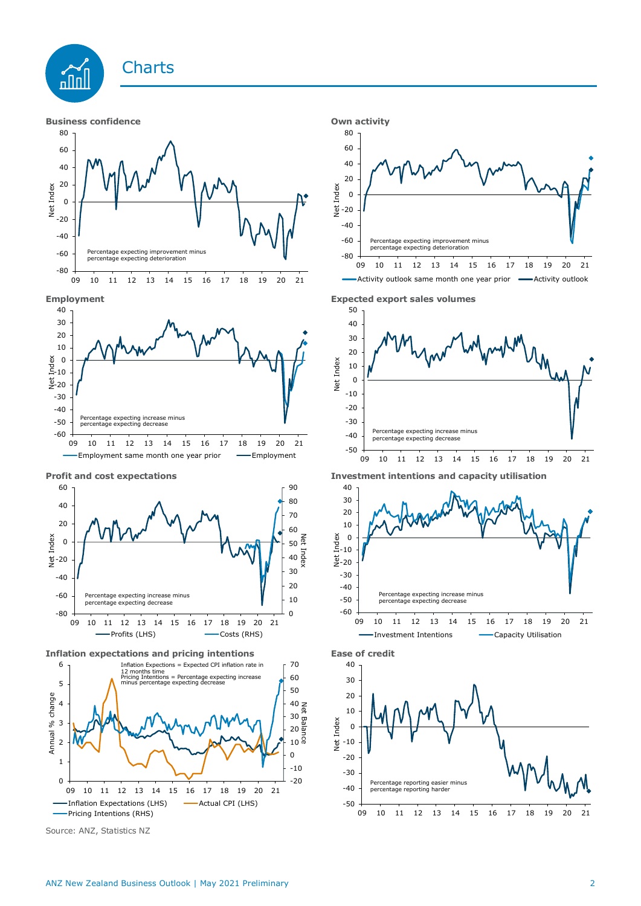









**Inflation expectations and pricing intentions Ease of credit**



Source: ANZ, Statistics NZ







**Profit and cost expectations Investment intentions and capacity utilisation**



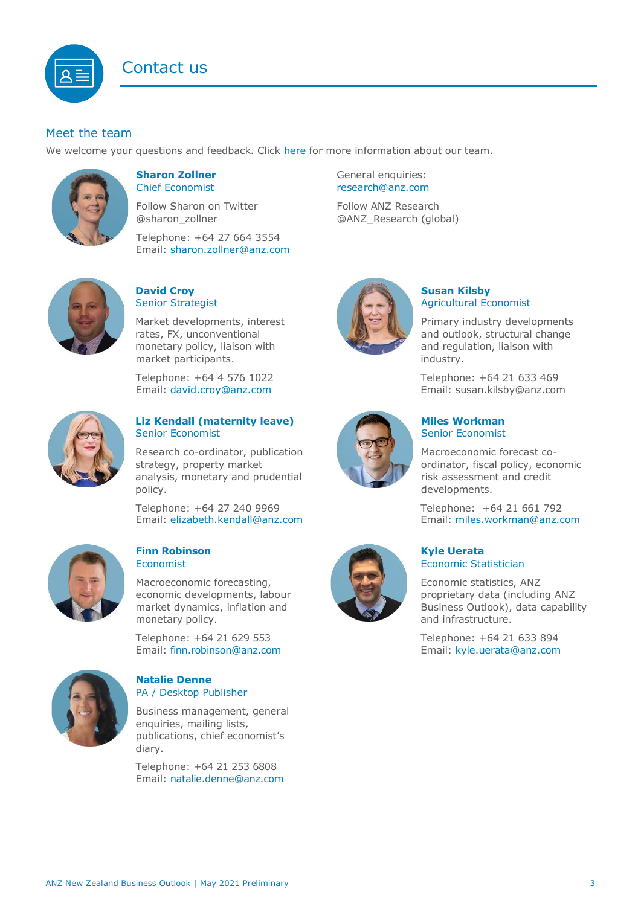## Contact us



## Meet the team

We welcome your questions and feedback. Click [here](https://www.anz.co.nz/about-us/economic-markets-research/economics-research-team/) for more information about our team.



#### <span id="page-2-0"></span>**Sharon Zollner** Chief Economist

Follow Sharon on Twitter @sharon\_zollner

Telephone: +64 27 664 3554 Email: [sharon.zollner@anz.com](mailto:sharon.zollner@anz.com)



## **David Croy** Senior Strategist

Market developments, interest rates, FX, unconventional monetary policy, liaison with market participants.

Telephone: +64 4 576 1022 Email: [david.croy@anz.com](mailto:david.croy@anz.com)



## **Liz Kendall (maternity leave)** Senior Economist

Research co-ordinator, publication strategy, property market analysis, monetary and prudential policy.

Telephone: +64 27 240 9969 Email: [elizabeth.kendall@anz.com](mailto:Elizabeth.Kendall@anz.com)



#### **Finn Robinson** Economist

Macroeconomic forecasting, economic developments, labour market dynamics, inflation and monetary policy.

Telephone: +64 21 629 553 Email: [finn.robinson@anz.com](mailto:finn.robinson@anz.com)



#### **Natalie Denne** PA / Desktop Publisher

Business management, general enquiries, mailing lists, publications, chief economist's diary.

Telephone: +64 21 253 6808 Email: [natalie.denne@anz.com](mailto:natalie.denne@anz.com) General enquiries: [research@anz.com](mailto:research@anz.com)

Follow ANZ Research @ANZ\_Research (global)



## **Susan Kilsby** Agricultural Economist

Primary industry developments and outlook, structural change and regulation, liaison with industry.

Telephone: +64 21 633 469 Email: [susan.kilsby@anz.com](mailto:susan.kilsby@anz.com)



## **Miles Workman**  Senior Economist

Macroeconomic forecast coordinator, fiscal policy, economic risk assessment and credit developments.

Telephone: +64 21 661 792 Email: [miles.workman@anz.com](mailto:miles.workman@anz.com)



### **Kyle Uerata** Economic Statistician

Economic statistics, ANZ proprietary data (including ANZ Business Outlook), data capability and infrastructure.

Telephone: +64 21 633 894 Email: [kyle.uerata@anz.com](mailto:Kyle.Uerata@anz.com)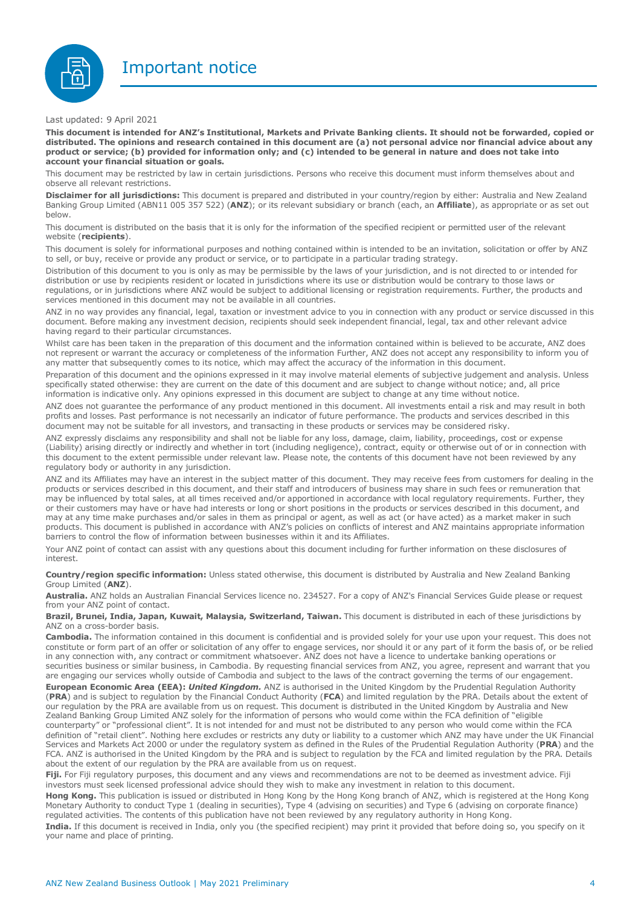Important notice



Last updated: 9 April 2021

This document is intended for ANZ's Institutional, Markets and Private Banking clients. It should not be forwarded, copied or distributed. The opinions and research contained in this document are (a) not personal advice nor financial advice about any product or service; (b) provided for information only; and (c) intended to be general in nature and does not take into **account your financial situation or goals.**

This document may be restricted by law in certain jurisdictions. Persons who receive this document must inform themselves about and observe all relevant restrictions.

**Disclaimer for all jurisdictions:** This document is prepared and distributed in your country/region by either: Australia and New Zealand Banking Group Limited (ABN11 005 357 522) (**ANZ**); or its relevant subsidiary or branch (each, an **Affiliate**), as appropriate or as set out below.

This document is distributed on the basis that it is only for the information of the specified recipient or permitted user of the relevant website (**recipients**).

This document is solely for informational purposes and nothing contained within is intended to be an invitation, solicitation or offer by ANZ to sell, or buy, receive or provide any product or service, or to participate in a particular trading strategy.

Distribution of this document to you is only as may be permissible by the laws of your jurisdiction, and is not directed to or intended for distribution or use by recipients resident or located in jurisdictions where its use or distribution would be contrary to those laws or regulations, or in jurisdictions where ANZ would be subject to additional licensing or registration requirements. Further, the products and services mentioned in this document may not be available in all countries.

ANZ in no way provides any financial, legal, taxation or investment advice to you in connection with any product or service discussed in this document. Before making any investment decision, recipients should seek independent financial, legal, tax and other relevant advice having regard to their particular circumstances.

Whilst care has been taken in the preparation of this document and the information contained within is believed to be accurate, ANZ does not represent or warrant the accuracy or completeness of the information Further, ANZ does not accept any responsibility to inform you of any matter that subsequently comes to its notice, which may affect the accuracy of the information in this document.

Preparation of this document and the opinions expressed in it may involve material elements of subjective judgement and analysis. Unless specifically stated otherwise: they are current on the date of this document and are subject to change without notice; and, all price information is indicative only. Any opinions expressed in this document are subject to change at any time without notice.

ANZ does not guarantee the performance of any product mentioned in this document. All investments entail a risk and may result in both profits and losses. Past performance is not necessarily an indicator of future performance. The products and services described in this document may not be suitable for all investors, and transacting in these products or services may be considered risky.

ANZ expressly disclaims any responsibility and shall not be liable for any loss, damage, claim, liability, proceedings, cost or expense (Liability) arising directly or indirectly and whether in tort (including negligence), contract, equity or otherwise out of or in connection with this document to the extent permissible under relevant law. Please note, the contents of this document have not been reviewed by any regulatory body or authority in any jurisdiction.

ANZ and its Affiliates may have an interest in the subject matter of this document. They may receive fees from customers for dealing in the products or services described in this document, and their staff and introducers of business may share in such fees or remuneration that may be influenced by total sales, at all times received and/or apportioned in accordance with local regulatory requirements. Further, they or their customers may have or have had interests or long or short positions in the products or services described in this document, and may at any time make purchases and/or sales in them as principal or agent, as well as act (or have acted) as a market maker in such products. This document is published in accordance with ANZ's policies on conflicts of interest and ANZ maintains appropriate information barriers to control the flow of information between businesses within it and its Affiliates.

Your ANZ point of contact can assist with any questions about this document including for further information on these disclosures of interest.

**Country/region specific information:** Unless stated otherwise, this document is distributed by Australia and New Zealand Banking Group Limited (**ANZ**).

**Australia.** ANZ holds an Australian Financial Services licence no. 234527. For a copy of ANZ's Financial Services Guide please or request from your ANZ point of contact.

**Brazil, Brunei, India, Japan, Kuwait, Malaysia, Switzerland, Taiwan.** This document is distributed in each of these jurisdictions by ANZ on a cross-border basis.

**Cambodia.** The information contained in this document is confidential and is provided solely for your use upon your request. This does not constitute or form part of an offer or solicitation of any offer to engage services, nor should it or any part of it form the basis of, or be relied in any connection with, any contract or commitment whatsoever. ANZ does not have a licence to undertake banking operations or securities business or similar business, in Cambodia. By requesting financial services from ANZ, you agree, represent and warrant that you are engaging our services wholly outside of Cambodia and subject to the laws of the contract governing the terms of our engagement. **European Economic Area (EEA):** *United Kingdom.* ANZ is authorised in the United Kingdom by the Prudential Regulation Authority (**PRA**) and is subject to regulation by the Financial Conduct Authority (**FCA**) and limited regulation by the PRA. Details about the extent of our regulation by the PRA are available from us on request. This document is distributed in the United Kingdom by Australia and New Zealand Banking Group Limited ANZ solely for the information of persons who would come within the FCA definition of "eligible counterparty" or "professional client". It is not intended for and must not be distributed to any person who would come within the FCA definition of "retail client". Nothing here excludes or restricts any duty or liability to a customer which ANZ may have under the UK Financial Services and Markets Act 2000 or under the regulatory system as defined in the Rules of the Prudential Regulation Authority (**PRA**) and the FCA. ANZ is authorised in the United Kingdom by the PRA and is subject to regulation by the FCA and limited regulation by the PRA. Details about the extent of our regulation by the PRA are available from us on request.

Fiji. For Fiji regulatory purposes, this document and any views and recommendations are not to be deemed as investment advice. Fiji investors must seek licensed professional advice should they wish to make any investment in relation to this document.

**Hong Kong.** This publication is issued or distributed in Hong Kong by the Hong Kong branch of ANZ, which is registered at the Hong Kong Monetary Authority to conduct Type 1 (dealing in securities), Type 4 (advising on securities) and Type 6 (advising on corporate finance) regulated activities. The contents of this publication have not been reviewed by any regulatory authority in Hong Kong.

**India.** If this document is received in India, only you (the specified recipient) may print it provided that before doing so, you specify on it your name and place of printing.